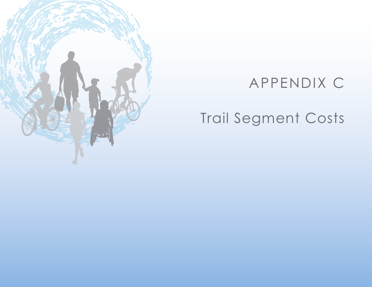

## APPENDIX C

## Trail Segment Costs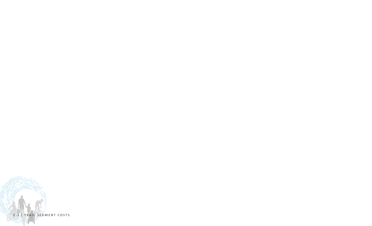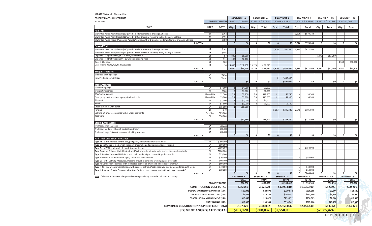| <b>MBSST Network: Master Plan</b>                                                                                |                 |                          |                         |                    |             |                     |              |                    |                |                    |             |                    |             |                    |  |  |  |
|------------------------------------------------------------------------------------------------------------------|-----------------|--------------------------|-------------------------|--------------------|-------------|---------------------|--------------|--------------------|----------------|--------------------|-------------|--------------------|-------------|--------------------|--|--|--|
| <b>COST ESTIMATE - ALL SEGMENTS</b>                                                                              |                 |                          |                         | <b>SEGMENT 1</b>   |             | <b>SEGMENT 2</b>    |              | <b>SEGMENT 3</b>   |                | <b>SEGMENT 4</b>   |             | SEGMENT 4A         |             | <b>SEGMENT 4B</b>  |  |  |  |
| 9-Oct-2013                                                                                                       |                 | <b>SEGMENT LENGTH</b>    |                         | 5,600 LF / 1.06 MI |             | 25,170 LF / 4.77 MI |              | 5,870 LF / 1.11 MI |                | 7,300 LF / 1.38 MI |             | 7,470 LF / 1.41 MI |             | 4,510 LF / 0.85 MI |  |  |  |
| <b>TYPE</b>                                                                                                      | <b>UNIT</b>     | <b>COST</b>              | Qty.                    | Total              | Qty.        | Total               | Qty.         | Total              | Qty.           | Total              | Qty.        | Total              | Qty.        | Total              |  |  |  |
| <b>Rail Trail</b>                                                                                                |                 |                          |                         |                    |             |                     |              |                    |                |                    |             |                    |             |                    |  |  |  |
| Multi-Use Paved Path (Class I) (12' paved): moderate terrain, drainage, utilities                                | LF              | \$162                    |                         |                    |             |                     |              |                    | 3,520          | \$570,240          |             |                    |             |                    |  |  |  |
| Multi-Use Paved Path (Class I) (12' paved): difficult terrain, retaining walls, drainage, utilities              | LF              | \$405                    |                         |                    |             |                     |              |                    |                |                    |             |                    |             |                    |  |  |  |
| Multi-Use Paved (Class I)/Unpaved Path (12' paved, with 6' DG path): moderate terrain, drainage, utilities       | LF              | \$180                    |                         |                    |             |                     |              |                    |                |                    |             |                    |             |                    |  |  |  |
| <b>SUBTOTAL</b>                                                                                                  |                 |                          | $\mathbf{0}$            | \$0                | $\mathbf 0$ | \$0                 | $\mathbf{0}$ | \$0                | 3,520          | \$570,240          | $\mathbf 0$ | \$0                | $\mathbf 0$ | \$0                |  |  |  |
| <b>Coastal Trail</b>                                                                                             |                 |                          |                         |                    |             |                     |              |                    |                |                    |             |                    |             |                    |  |  |  |
| Multi-Use Paved Path (Class I) (12' paved): moderate terrain, drainage, utilities                                | LF              | \$162                    |                         |                    |             |                     | 5,870        | \$950,940          | 3,780          | \$612,360          |             |                    |             |                    |  |  |  |
| Multi-Use Paved Path (Class I) (12' paved): difficult terrain, retaining walls, drainage, utilities              | LF              | \$405                    |                         |                    |             |                     |              |                    |                |                    |             |                    |             |                    |  |  |  |
| Unpaved Trail (native soil); 6' - 8' wide, level terrain                                                         | LF              | \$7                      | 800                     | \$5,600            |             |                     |              |                    |                |                    | 7,470       | \$52,290           |             |                    |  |  |  |
| Unpaved Trail (native soil); 10' - 12' wide on existing road                                                     | LF              | \$11                     | 200                     | \$2,200            |             |                     |              |                    |                |                    |             |                    |             |                    |  |  |  |
| Class II Bike Lanes                                                                                              | LF              | \$20                     |                         |                    |             |                     |              |                    |                |                    |             |                    | 4,510       | \$90,200           |  |  |  |
| Class III Bike Route, wayfinding signage                                                                         | LF              | \$6                      | 4,600                   | \$27,600           | 25,170      | \$151,020           |              |                    |                |                    |             |                    |             |                    |  |  |  |
| <b>SUBTOTAL</b>                                                                                                  |                 |                          | 5,600                   | \$35,400           | 25,170      | \$151,020           | 5,870        | \$950,940          | 3,780          | \$612,360          | 7,470       | \$52,290           | 4,510       | \$90,200           |  |  |  |
| <b>Bridge Structures</b>                                                                                         |                 |                          |                         |                    |             |                     |              |                    |                |                    |             |                    |             |                    |  |  |  |
| Modified Existing Bridge                                                                                         | EA              | Varie                    |                         |                    |             |                     |              |                    |                |                    |             |                    |             |                    |  |  |  |
| New Pre-Engineered Bridge                                                                                        | EA              | Varie                    |                         |                    |             |                     |              | \$400,000          |                |                    |             |                    |             |                    |  |  |  |
| <b>SUBTOTAL</b>                                                                                                  |                 |                          | $\mathbf{0}$            | \$0                | $\pmb{0}$   | \$0                 | $\mathbf{1}$ | \$400,000          | $\pmb{0}$      | \$0                | $\mathbf 0$ | \$0                | $\pmb{0}$   | \$0                |  |  |  |
| <b>Trail Amenities</b>                                                                                           |                 |                          |                         |                    |             |                     |              |                    |                |                    |             |                    |             |                    |  |  |  |
| Trailhead signage                                                                                                | EA              | \$4,000                  | $\overline{1}$          | \$4,000            |             | \$8,000             |              |                    |                |                    |             |                    |             |                    |  |  |  |
| Interpretive signage                                                                                             | EA              | \$500                    | $\overline{\mathbf{3}}$ | \$1,500            |             | \$1,000             |              |                    |                |                    |             |                    |             |                    |  |  |  |
| Wayfinding signage                                                                                               | Allow/Mile      | \$2,500                  | 1.1                     | \$2,750            | 5.0         | \$12,500            | 1.1          | \$2,750            | 1.4            | \$3,500            |             |                    |             |                    |  |  |  |
| Emergency locator system signage (rail trail only)                                                               | Allow/Mile      | \$3,000                  | 1.1                     | \$3,300            | 5.0         | \$15,000            | 1.1          | \$3,300            | 1.4            | \$4,200            |             |                    |             |                    |  |  |  |
| <b>Bike rack</b>                                                                                                 | EA              | \$1,000                  |                         | \$2,000            |             | \$2,000             |              |                    |                |                    |             |                    |             |                    |  |  |  |
| Bench                                                                                                            | EA              | \$1,500                  |                         | \$3,000            |             | \$3,000             |              | \$1,500            |                |                    |             |                    |             |                    |  |  |  |
| Shade structure with bench                                                                                       | EA              | \$15,000                 |                         | \$15,000           |             |                     |              |                    |                |                    |             |                    |             |                    |  |  |  |
| Fencing<br>Lighting (at bridges/crossings within urban segments)                                                 | LF              | \$40                     |                         |                    |             |                     | 5,883        | \$235,320          | 2,640          | \$105,600          |             |                    |             |                    |  |  |  |
| Restroom                                                                                                         | Each Xing<br>EA | \$25,000<br>\$30,000     |                         |                    |             |                     |              |                    |                |                    |             |                    |             |                    |  |  |  |
| <b>SUBTOTAL</b>                                                                                                  |                 |                          |                         | \$31,550           |             | \$41,500            |              | \$242,870          |                | \$113,300          |             | \$0                |             | \$0                |  |  |  |
|                                                                                                                  |                 |                          |                         |                    |             |                     |              |                    |                |                    |             |                    |             |                    |  |  |  |
| <b>Staging Area Access</b><br>Trailhead, small (10 cars)                                                         | EA              | \$30,000                 |                         |                    |             |                     |              |                    |                |                    |             |                    |             |                    |  |  |  |
| Trailhead, medium (20 cars), portable restroom                                                                   | EA              | \$50,000                 |                         |                    |             |                     |              |                    |                |                    |             |                    |             |                    |  |  |  |
| Trailhead, large (30 cars), restroom, drinking fountain                                                          | EA              | \$80,000                 |                         |                    |             |                     |              |                    |                |                    |             |                    |             |                    |  |  |  |
| <b>SUBTOTAL</b>                                                                                                  |                 |                          | $\mathbf{0}$            | \$0                | $\mathbf 0$ | \$0                 | $\mathbf{0}$ | \$0                | $\mathbf 0$    | \$0                | $\mathbf 0$ | \$0                | $\mathbf 0$ | \$0                |  |  |  |
| <b>Rail Track and Street Crossings</b>                                                                           |                 |                          |                         |                    |             |                     |              |                    |                |                    |             |                    |             |                    |  |  |  |
| Type A: Tie into railroad control cab, ped gates, barriers, roadway treatments                                   | EA              | \$250,000                |                         |                    |             |                     |              |                    |                |                    |             |                    |             |                    |  |  |  |
| Type B: Traffic signal modication with new crosswalk, ped equipment, loops, striping                             | EA              | \$50,000                 |                         |                    |             |                     |              |                    |                |                    |             |                    |             |                    |  |  |  |
| Type C: HAWK including all elec and striping/signing                                                             | EA              | \$150,000                |                         |                    |             |                     |              |                    |                | \$150,000          |             |                    |             |                    |  |  |  |
| Type D: Active Enhanced Midblock, either IRWL or overhead, ppb, yield marks, signs, path controls                | EA              | \$100,000                |                         |                    |             |                     |              |                    |                |                    |             |                    |             |                    |  |  |  |
| Type E: Passive Enhanced Midblock, with yield marks, signs, crosswalk, path controls                             | EA              | \$25,000                 |                         |                    |             |                     |              |                    |                |                    |             |                    |             |                    |  |  |  |
| Type F: Standard Midblock with signs, crosswalk, path controls                                                   | EA              | \$20,000                 |                         |                    |             |                     |              |                    | $\overline{2}$ | \$40,000           |             |                    |             |                    |  |  |  |
| Type G: Traffic Calming Measures, medians or curb extensions, warning signs, crosswalk                           | EA              | \$80,000                 |                         |                    |             |                     |              |                    |                |                    |             |                    |             |                    |  |  |  |
| Type H: Connection Facilities, with redirected path to ex xwalk and bike lanes or sharrows                       | EA              | \$60,000                 |                         |                    |             |                     |              |                    |                |                    |             |                    |             |                    |  |  |  |
| Type I: Rail xing w/out rr signal mods, with barriers at tracks/path, roadway xing signs/markings, path yields   | EA              | \$40,000                 |                         |                    |             |                     |              |                    | $\mathbf{1}$   | \$40,000           |             |                    |             |                    |  |  |  |
| Type J: Standard Private Crossing, with stops for local road crossing and path yield signs or marks <sup>*</sup> | EA              | \$10,000                 |                         |                    |             |                     |              |                    | 1              | \$10,000           |             |                    |             |                    |  |  |  |
| <b>SUBTOTAL</b>                                                                                                  |                 |                          | $\mathbf{0}$            | \$0                | $\Omega$    | \$0                 | $\mathbf{0}$ | \$0                | 5              | \$240,000          | 0           | \$0                | 0           | \$0                |  |  |  |
| Note: *The maps show PUC designated crossings and may not reflect all private crossings.                         |                 |                          |                         | <b>SEGMENT 1</b>   |             | <b>SEGMENT 2</b>    |              | <b>SEGMENT 3</b>   |                | <b>SEGMENT 4</b>   |             | <b>SEGMENT 4A</b>  |             | <b>SEGMENT 4B</b>  |  |  |  |
|                                                                                                                  |                 |                          |                         | TOTAL              |             | TOTAL               |              | TOTAL              |                | TOTAL              |             | TOTAL              |             | <b>TOTAL</b>       |  |  |  |
|                                                                                                                  |                 | <b>SEGMENT TOTALS</b>    |                         | \$66,950           |             | \$192,520           |              | \$1,593,810        |                | \$1,535,900        |             | \$52,290           |             | \$90,200           |  |  |  |
| <b>CONSTRUCTION COST TOTAL</b>                                                                                   |                 |                          |                         | \$66,950           |             | \$192,520           |              | \$1,593,810        |                | \$1,535,900        |             | \$52,290           |             | \$90,200           |  |  |  |
| DESIGN, ENGINEERING AND PS&E (15%)                                                                               |                 |                          |                         | \$10,043           |             | \$28,878            |              | \$239,072          |                | \$230,385          |             |                    |             | \$13,530           |  |  |  |
|                                                                                                                  |                 |                          |                         |                    |             |                     |              |                    |                |                    |             | \$7,844            |             |                    |  |  |  |
| <b>ENVIRONMENTAL PERMITTING (10%)</b>                                                                            |                 |                          |                         | \$6,695            |             | \$19,252            |              | \$159,381          |                | \$153,590          |             | \$5,229            |             | \$9,020            |  |  |  |
| <b>CONSTRUCTION MANAGEMENT (15%)</b>                                                                             |                 |                          |                         | \$10,043           |             | \$28,878            |              | \$239,072          |                | \$230,385          |             | \$7,844            |             | \$13,530           |  |  |  |
|                                                                                                                  |                 | <b>CONTINGENCY (20%)</b> |                         | \$13,390           |             | \$38,504            |              | \$318,762          |                | \$307,180          |             | \$10,458           |             | \$18,040           |  |  |  |
| COMBINED CONSTRUCTION/SUPPORT COST TOTAL                                                                         |                 |                          |                         | \$107,120          |             | \$308,032           |              | \$2,550,096        |                | \$2,457,440        |             | \$83,664           |             | \$144,320          |  |  |  |
| SEGMENT AGGREGATED TOTAL                                                                                         |                 |                          |                         | \$107,120          |             | \$308,032           |              | \$2,550,096        |                |                    |             | \$2,685,424        |             |                    |  |  |  |
|                                                                                                                  |                 |                          |                         |                    |             |                     |              |                    |                |                    |             |                    |             |                    |  |  |  |

## APPENDIX C | C-3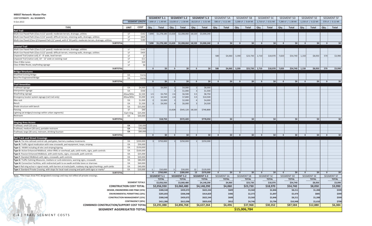| <b>MBSST Network: Master Plan</b>                                                                                                                                                                            |             |                          |                         |                    |                         |                                                         |                         |                                |                          |                   |                         |                    |              |                    |              |                    |              |                    |                         |                   |
|--------------------------------------------------------------------------------------------------------------------------------------------------------------------------------------------------------------|-------------|--------------------------|-------------------------|--------------------|-------------------------|---------------------------------------------------------|-------------------------|--------------------------------|--------------------------|-------------------|-------------------------|--------------------|--------------|--------------------|--------------|--------------------|--------------|--------------------|-------------------------|-------------------|
| <b>COST ESTIMATE - ALL SEGMENTS</b>                                                                                                                                                                          |             |                          |                         | <b>SEGMENT 5.1</b> |                         | <b>SEGMENT 5.2</b>                                      |                         | <b>SEGMENT 5.3</b>             |                          | <b>SEGMENT 5A</b> |                         | <b>SEGMENT 5B</b>  |              | <b>SEGMENT 5C</b>  |              | <b>SEGMENT 5D</b>  |              | <b>SEGMENT 5E</b>  |                         | <b>SEGMENT 5F</b> |
| 9-Oct-2013                                                                                                                                                                                                   |             | <b>SEGMENT LENGTH</b>    |                         | 7,890 LF / 1.49 MI |                         | 13,630 LF / 2.58 MI                                     |                         | 18,520 LF / 3.51 MI            |                          | 580 LF / 0.11 MI  |                         | 3,390 LF / 0.64 MI |              | 2,710 LF / 0.51 MI |              | 7,280 LF / 1.38 MI |              | 1,150 LF / 0.22 MI |                         | 570 LF / 0.11 MI  |
| <b>TYPE</b>                                                                                                                                                                                                  | <b>UNIT</b> | COST                     | Qty.                    | Total              | Qty.                    | Total                                                   | Qty.                    | Total                          | Qty.                     | Total             | Qty.                    | Total              |              | Total              | Qty.         | Total              | Qty.         | Total              | Qty.                    | Total             |
| <b>Rail Trail</b>                                                                                                                                                                                            |             |                          |                         |                    |                         |                                                         |                         |                                |                          |                   |                         |                    | Qty.         |                    |              |                    |              |                    |                         |                   |
| Multi-Use Paved Path (Class I) (12' paved): moderate terrain, drainage, utilities                                                                                                                            | LF          | \$162                    | 7,890                   | \$1,278,180 13,630 |                         |                                                         |                         | \$2,208,060 18,520 \$3,000,240 |                          |                   |                         |                    |              |                    |              |                    |              |                    |                         |                   |
| Multi-Use Paved Path (Class I) (12' paved): difficult terrain, retaining walls, drainage, utilities                                                                                                          | LF          | \$405                    |                         |                    |                         |                                                         |                         |                                |                          |                   |                         |                    |              |                    |              |                    |              |                    |                         |                   |
| Multi-Use Paved (Class I)/Unpaved Path (12' paved, with 6' DG path): moderate terrain, drainage, utilities                                                                                                   | LF          | \$180                    |                         |                    |                         |                                                         |                         |                                |                          |                   |                         |                    |              |                    |              |                    |              |                    |                         |                   |
| <b>SUBTOTAL</b>                                                                                                                                                                                              |             |                          |                         |                    |                         | 7,890 \$1,278,180 13,630 \$2,208,060 18,520 \$3,000,240 |                         |                                | $\overline{\phantom{0}}$ | \$0               | $\overline{\mathbf{0}}$ | \$0                | $\mathbf{0}$ | \$0 <sub>1</sub>   | $\mathbf{0}$ | \$0 <sub>1</sub>   | $\mathbf{0}$ | \$0 <sub>1</sub>   | - 0                     | \$0               |
| <b>Coastal Trail</b>                                                                                                                                                                                         |             |                          |                         |                    |                         |                                                         |                         |                                |                          |                   |                         |                    |              |                    |              |                    |              |                    |                         |                   |
| Multi-Use Paved Path (Class I) (12' paved): moderate terrain, drainage, utilities                                                                                                                            | LF          | \$162                    |                         |                    |                         |                                                         |                         |                                |                          |                   |                         |                    |              |                    |              |                    |              |                    |                         |                   |
| Multi-Use Paved Path (Class I) (12' paved): difficult terrain, retaining walls, drainage, utilities                                                                                                          | LF          | \$405                    |                         |                    |                         |                                                         |                         |                                |                          |                   |                         |                    |              |                    |              |                    |              |                    |                         |                   |
| Unpaved Trail (native soil); 6' - 8' wide, level terrain                                                                                                                                                     | LF          | \$7                      |                         |                    |                         |                                                         |                         |                                | 580                      | \$4,060           | 3,390                   | \$23,730           | 2,710        | \$18,970           | 7,820        | \$54,740           | 1,150        | \$8,050            | 570                     | \$3,990           |
| Unpaved Trail (native soil); 10' - 12' wide on existing road                                                                                                                                                 | LF          | \$11                     |                         |                    |                         |                                                         |                         |                                |                          |                   |                         |                    |              |                    |              |                    |              |                    |                         |                   |
| Class II Bike Lanes                                                                                                                                                                                          | LF          | \$20                     |                         |                    |                         |                                                         |                         |                                |                          |                   |                         |                    |              |                    |              |                    |              |                    |                         |                   |
| Class III Bike Route, wayfinding signage                                                                                                                                                                     | LF          | \$6                      |                         |                    |                         |                                                         |                         |                                |                          |                   |                         |                    |              |                    |              |                    |              |                    |                         |                   |
| <b>SUBTOTAL</b>                                                                                                                                                                                              |             |                          | $\mathbf{0}$            | \$0                | $\mathbf{0}$            | -\$0 I                                                  | $\overline{\mathbf{0}}$ | \$0                            | 580                      |                   | $$4,060$ 3,390          | $$23,730$ 2,710    |              | \$18,970 7,820     |              | \$54,740 1,150     |              | \$8,050            | 570                     | \$3,990           |
| <b>Bridge Structures</b>                                                                                                                                                                                     |             |                          |                         |                    |                         |                                                         |                         |                                |                          |                   |                         |                    |              |                    |              |                    |              |                    |                         |                   |
| <b>Modified Existing Bridge</b>                                                                                                                                                                              | EA          | Varie                    |                         |                    |                         |                                                         |                         |                                |                          |                   |                         |                    |              |                    |              |                    |              |                    |                         |                   |
| New Pre-Engineered Bridge                                                                                                                                                                                    | EA          | Varie                    |                         |                    |                         |                                                         |                         |                                |                          |                   |                         |                    |              |                    |              |                    |              |                    |                         |                   |
| <b>SUBTOTAL</b>                                                                                                                                                                                              |             |                          | $\Omega$                | \$0 <sub>1</sub>   | $\overline{\mathbf{0}}$ | \$0 <sub>1</sub>                                        | $\overline{\mathbf{0}}$ | \$0 <sub>1</sub>               | $\overline{\mathbf{0}}$  | \$0               | $\overline{\mathbf{0}}$ | \$0                | $\mathbf{0}$ | \$0                | $\mathbf{0}$ | 50 <sup>1</sup>    | $\mathbf{0}$ | 50 <sup>1</sup>    | $\overline{\mathbf{0}}$ | \$0               |
| <b>Trail Amenities</b>                                                                                                                                                                                       |             |                          |                         |                    |                         |                                                         |                         |                                |                          |                   |                         |                    |              |                    |              |                    |              |                    |                         |                   |
| Trailhead signage                                                                                                                                                                                            | EA          | \$4,000                  |                         | \$4,000            |                         | \$4,000                                                 |                         | \$8,000                        |                          |                   |                         |                    |              |                    |              |                    |              |                    |                         |                   |
| Interpretive signage                                                                                                                                                                                         | EA          | \$500                    |                         |                    |                         | \$1,000                                                 |                         | \$1,500                        |                          |                   |                         |                    |              |                    |              |                    |              |                    |                         |                   |
| Wayfinding signage                                                                                                                                                                                           | Allow/Mil   | \$2,500                  | 1.5                     | \$3,750            | 2.6                     | \$6,500                                                 | 3.5                     | \$8,750                        |                          |                   |                         |                    |              |                    |              |                    |              |                    |                         |                   |
| Emergency locator system signage (rail trail only)                                                                                                                                                           | Allow/Mile  | \$3,000                  | 1.5                     | \$4,500            | 2.6                     | \$7,800                                                 | 3.5                     | \$10,500                       |                          |                   |                         |                    |              |                    |              |                    |              |                    |                         |                   |
| <b>Bike rack</b>                                                                                                                                                                                             | EA          | \$1,000                  |                         | \$2,000            |                         | \$2,000                                                 |                         | \$4,000                        |                          |                   |                         |                    |              |                    |              |                    |              |                    |                         |                   |
| Bench                                                                                                                                                                                                        | EA          | \$1,500                  |                         | \$4,500            |                         | \$6,000                                                 |                         | \$4,500                        |                          |                   |                         |                    |              |                    |              |                    |              |                    |                         |                   |
| Shade structure with bench                                                                                                                                                                                   | EA          | \$15,000                 |                         |                    |                         |                                                         |                         |                                |                          |                   |                         |                    |              |                    |              |                    |              |                    |                         |                   |
| Fencing                                                                                                                                                                                                      | LF          | \$40                     |                         |                    | 13,628                  | \$545,120 18,520                                        |                         | \$740,800                      |                          |                   |                         |                    |              |                    |              |                    |              |                    |                         |                   |
| Lighting (at bridges/crossings within urban segments)                                                                                                                                                        | Each Xin    | \$25,000                 |                         |                    |                         |                                                         |                         |                                |                          |                   |                         |                    |              |                    |              |                    |              |                    |                         |                   |
| Restroom                                                                                                                                                                                                     | EA          | \$30,000                 |                         |                    |                         |                                                         |                         |                                |                          |                   |                         |                    |              |                    |              |                    |              |                    |                         |                   |
| <b>SUBTOTAL</b>                                                                                                                                                                                              |             |                          |                         | \$18,750           |                         | \$572,420                                               |                         | \$778,050                      |                          | \$0               |                         | \$0                |              | \$0                |              | \$0                |              | \$0                |                         | \$0               |
| <b>Staging Area Access</b>                                                                                                                                                                                   |             |                          |                         |                    |                         |                                                         |                         |                                |                          |                   |                         |                    |              |                    |              |                    |              |                    |                         |                   |
| Trailhead, small (10 cars)                                                                                                                                                                                   | EA          | \$30,000                 |                         |                    |                         |                                                         |                         |                                |                          |                   |                         |                    |              |                    |              |                    |              |                    |                         |                   |
| Trailhead, medium (20 cars), portable restroom                                                                                                                                                               | EA          | \$50,00                  |                         |                    |                         |                                                         |                         |                                |                          |                   |                         |                    |              |                    |              |                    |              |                    |                         |                   |
| Trailhead, large (30 cars), restroom, drinking fountain                                                                                                                                                      | EA          | \$80,00                  |                         |                    |                         |                                                         |                         |                                |                          |                   |                         |                    |              |                    |              |                    |              |                    |                         |                   |
| <b>SUBTOTAL</b>                                                                                                                                                                                              |             |                          | $\overline{\mathbf{0}}$ | \$0                | $\overline{\mathbf{0}}$ | 50 <sup>1</sup>                                         | $\overline{\mathbf{0}}$ | 50 <sup>1</sup>                | $\overline{\mathbf{0}}$  | \$0               | $\overline{\mathbf{0}}$ | 50 <sup>1</sup>    | $\mathbf{0}$ | \$0                | $\Omega$     | \$0                | $\mathbf{0}$ | \$0                | $\overline{\mathbf{0}}$ | \$0               |
| <b>Rail Track and Street Crossings</b>                                                                                                                                                                       |             |                          |                         |                    |                         |                                                         |                         |                                |                          |                   |                         |                    |              |                    |              |                    |              |                    |                         |                   |
| Type A: Tie into railroad control cab, ped gates, barriers, roadway treatments                                                                                                                               | EA          | \$250,000                |                         | \$750,000          |                         | \$250,000                                               |                         | \$250,000                      |                          |                   |                         |                    |              |                    |              |                    |              |                    |                         |                   |
| Type B: Traffic signal modication with new crosswalk, ped equipment, loops, striping                                                                                                                         | EA          | \$50,000                 |                         |                    |                         |                                                         |                         |                                |                          |                   |                         |                    |              |                    |              |                    |              |                    |                         |                   |
| Type C: HAWK including all elec and striping/signing                                                                                                                                                         | EA          | \$150,000                |                         |                    |                         |                                                         |                         |                                |                          |                   |                         |                    |              |                    |              |                    |              |                    |                         |                   |
| Type D: Active Enhanced Midblock, either IRWL or overhead, ppb, yield marks, signs, path controls                                                                                                            | EA          | \$100,000                |                         |                    |                         |                                                         |                         |                                |                          |                   |                         |                    |              |                    |              |                    |              |                    |                         |                   |
| Type E: Passive Enhanced Midblock, with yield marks, signs, crosswalk, path controls                                                                                                                         | EA          | \$25,00                  |                         |                    |                         |                                                         |                         |                                |                          |                   |                         |                    |              |                    |              |                    |              |                    |                         |                   |
| Type F: Standard Midblock with signs, crosswalk, path controls                                                                                                                                               | EA          | \$20,000                 |                         |                    |                         |                                                         |                         |                                |                          |                   |                         |                    |              |                    |              |                    |              |                    |                         |                   |
| Type G: Traffic Calming Measures, medians or curb extensions, warning signs, crosswalk                                                                                                                       | EA          | \$80,000                 |                         |                    |                         |                                                         |                         |                                |                          |                   |                         |                    |              |                    |              |                    |              |                    |                         |                   |
| Type H: Connection Facilities, with redirected path to ex xwalk and bike lanes or sharrows<br>Type I: Rail xing w/out rr signal mods, with barriers at tracks/path, roadway xing signs/markings, path yields | EA<br>EA    | \$60,000<br>\$40,00      |                         |                    |                         |                                                         |                         |                                |                          |                   |                         |                    |              |                    |              |                    |              |                    |                         |                   |
| Type J: Standard Private Crossing, with stops for local road crossing and path yield signs or marks*                                                                                                         | EA          | \$10,00                  |                         | \$10,000           |                         | \$30,000                                                | 12                      | \$120,000                      |                          |                   |                         |                    |              |                    |              |                    |              |                    |                         |                   |
| <b>SUBTOTAL</b>                                                                                                                                                                                              |             |                          | $\overline{a}$          | \$760,000          | $\overline{4}$          | \$280,000                                               | 13                      | \$370,000                      | $\overline{\mathbf{0}}$  | \$0               | - 0                     | \$0                | $\Omega$     | \$0                | $\Omega$     | \$0                | $\Omega$     | \$0                | - 0                     | \$0               |
| Note: *The maps show PUC designated crossings and may not reflect all private crossings.                                                                                                                     |             |                          |                         | <b>SEGMENT 5.1</b> |                         | <b>SEGMENT 5.2</b>                                      |                         | <b>SEGMENT 5.3</b>             |                          | <b>SEGMENT 5A</b> |                         | <b>SEGMENT 5B</b>  |              | <b>SEGMENT 5C</b>  |              | <b>SEGMENT 5D</b>  |              | <b>SEGMENT 5E</b>  |                         | <b>SEGMENT 5F</b> |
|                                                                                                                                                                                                              |             |                          |                         |                    |                         |                                                         |                         |                                |                          |                   |                         |                    |              |                    |              |                    |              |                    |                         |                   |
|                                                                                                                                                                                                              |             |                          |                         | <b>TOTAL</b>       |                         | <b>TOTAL</b>                                            |                         | <b>TOTAL</b>                   |                          | <b>TOTAL</b>      |                         | TOTAL              |              | <b>TOTAL</b>       |              | <b>TOTAL</b>       |              | <b>TOTAL</b>       |                         | <b>TOTAL</b>      |
|                                                                                                                                                                                                              |             | <b>SEGMENT TOTALS</b>    |                         | \$2,056,930        |                         | \$3,060,480                                             |                         | \$4,148,290                    |                          | \$4,060           |                         | \$23,730           |              | \$18,970           |              | \$54,740           |              | \$8,050            |                         | \$3,990           |
| <b>CONSTRUCTION COST TOTAL</b>                                                                                                                                                                               |             |                          |                         | \$2,056,930        |                         | \$3,060,480                                             |                         | \$4,148,290                    |                          | \$4,060           |                         | \$23,730           |              | \$18,970           |              | \$54,740           |              | \$8,050            |                         | \$3,990           |
| DESIGN, ENGINEERING AND PS&E (15%)                                                                                                                                                                           |             |                          |                         | \$308,540          |                         | \$459,072                                               |                         | \$622,244                      |                          | \$609             |                         | \$3,560            |              | \$2,846            |              | \$8,211            |              | \$1,208            |                         | \$599             |
| <b>ENVIRONMENTAL PERMITTING (10%)</b>                                                                                                                                                                        |             |                          |                         | \$205,693          |                         | \$306,048                                               |                         | \$414,829                      |                          | \$406             |                         | \$2,373            |              | \$1,897            |              | \$5,474            |              | \$805              |                         | \$399             |
| <b>CONSTRUCTION MANAGEMENT (15%)</b>                                                                                                                                                                         |             |                          |                         | \$308,540          |                         | \$459,072                                               |                         | \$622,244                      |                          | \$609             |                         | \$3,560            |              | \$2,846            |              | \$8,211            |              | \$1,208            |                         | \$599             |
|                                                                                                                                                                                                              |             | <b>CONTINGENCY (20%)</b> |                         | \$411,386          |                         | \$612,096                                               |                         | \$829,658                      |                          | \$812             |                         | \$4,746            |              | \$3,794            |              | \$10,948           |              | \$1,610            |                         | \$798             |
| COMBINED CONSTRUCTION/SUPPORT COST TOTAL                                                                                                                                                                     |             |                          |                         | \$3,291,088        |                         | \$4,896,768                                             |                         | \$6,637,264                    |                          | \$6,496           |                         | \$37,968           |              | \$30,352           |              | \$87,584           |              | \$12,880           |                         | \$6,384           |
|                                                                                                                                                                                                              |             |                          |                         |                    |                         |                                                         |                         |                                |                          |                   |                         |                    |              |                    |              |                    |              |                    |                         |                   |
| <b>SEGMENT AGGREGATED TOTAL</b>                                                                                                                                                                              |             |                          |                         |                    |                         |                                                         |                         |                                |                          |                   |                         | \$15,006,784       |              |                    |              |                    |              |                    |                         |                   |

C-4 | TRAIL SEGMENT COSTS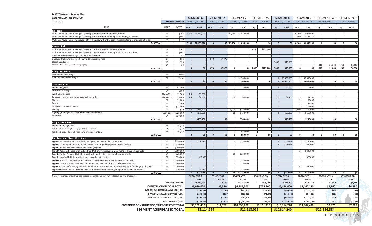| <b>MBSST Network: Master Plan</b>                                                                                                                        |                                       |                          |                         |                            |                         |                   |              |                              |                         |                    |              |                              |              |                         |              |                         |             |                                                        |
|----------------------------------------------------------------------------------------------------------------------------------------------------------|---------------------------------------|--------------------------|-------------------------|----------------------------|-------------------------|-------------------|--------------|------------------------------|-------------------------|--------------------|--------------|------------------------------|--------------|-------------------------|--------------|-------------------------|-------------|--------------------------------------------------------|
| <b>COST ESTIMATE - ALL SEGMENTS</b>                                                                                                                      |                                       |                          |                         | <b>SEGMENT 6</b>           |                         | <b>SEGMENT 6A</b> |              | <b>SEGMENT 7</b>             |                         | <b>SEGMENT 7A</b>  |              | <b>SEGMENT 8</b>             |              | <b>SEGMENT 9</b>        |              | <b>SEGMENT 9A</b>       |             | <b>SEGMENT 9B</b>                                      |
| 9-Oct-2013                                                                                                                                               |                                       | <b>SEGMENT LENGTH</b>    |                         | 7,160 LF / 1.36 MI         |                         | 670 LF / 0.13 MI  |              | 11,450 LF / 2.17 MI          |                         | 4,480 LF / 0.85 MI |              | 4,070 LF / 0.77 MI           |              | 8,100 LF / 1.53 MI      |              | 310 LF / 0.06 MI        |             | 730 LF / 0.14 MI                                       |
| <b>TYPE</b>                                                                                                                                              | <b>UNIT</b>                           | <b>COST</b>              | Qty.                    | Total                      | Qty.                    | Total             | Qty.         | Total                        | Qty.                    | Total              | Qty.         | Total                        | Qty.         | Total                   | Qty.         | Total                   | Qty.        | Total                                                  |
| <b>Rail Trail</b>                                                                                                                                        |                                       |                          |                         |                            |                         |                   |              |                              |                         |                    |              |                              |              |                         |              |                         |             |                                                        |
| Multi-Use Paved Path (Class I) (12' paved): moderate terrain, drainage, utilities                                                                        | LF.                                   | \$162                    | 7,160                   | \$1,159,920                |                         |                   | 11,450       | \$1,854,900                  |                         |                    |              |                              | 6,750        | \$1,093,500             |              |                         |             |                                                        |
| Multi-Use Paved Path (Class I) (12' paved): difficult terrain, retaining walls, drainage, utilities                                                      | LF                                    | \$405                    |                         |                            |                         |                   |              |                              |                         |                    |              |                              | 1,350        | \$546,750               |              |                         |             |                                                        |
| Multi-Use Paved (Class I)/Unpaved Path (12' paved, with 6' DG path): moderate terrain, drainage, utilities                                               | LF                                    | \$180                    |                         |                            |                         |                   |              |                              |                         |                    |              |                              |              |                         |              |                         |             |                                                        |
| <b>SUBTOTAL</b>                                                                                                                                          |                                       |                          |                         | 7,160 \$1,159,920          | $\overline{\mathbf{0}}$ |                   |              | \$0 11,450 \$1,854,900       | $\overline{\mathbf{0}}$ | \$0                | $\mathbf 0$  |                              |              | $$0$ 8,100 \$1,640,250  | $\mathbf{0}$ | \$0                     | $\mathbf 0$ |                                                        |
| <b>Coastal Trail</b><br>Multi-Use Paved Path (Class I) (12' paved): moderate terrain, drainage, utilities                                                | LF.                                   | \$162                    |                         |                            |                         |                   |              |                              | 4,480                   | \$725,760          |              |                              |              |                         |              |                         |             |                                                        |
| Multi-Use Paved Path (Class I) (12' paved): difficult terrain, retaining walls, drainage, utilities                                                      | LF.                                   | \$405                    |                         |                            |                         |                   |              |                              |                         |                    |              |                              |              |                         |              |                         |             |                                                        |
| Unpaved Trail (native soil); 6' - 8' wide, level terrain                                                                                                 | LF                                    | \$7                      |                         |                            |                         |                   |              |                              |                         |                    |              |                              |              |                         |              |                         |             |                                                        |
| Unpaved Trail (native soil); 10' - 12' wide on existing road                                                                                             | LF                                    | \$11                     |                         |                            | 670                     | \$7,370           |              |                              |                         |                    |              |                              |              |                         |              |                         |             |                                                        |
| Class II Bike Lanes                                                                                                                                      | LF                                    | \$20                     |                         |                            |                         |                   |              |                              |                         |                    | 2,000        | \$40,000                     |              |                         |              |                         |             |                                                        |
| Class III Bike Route, wayfinding signage                                                                                                                 | LF                                    | \$6                      |                         |                            |                         |                   |              |                              |                         |                    |              |                              |              |                         | 31(          | \$1,860                 | 730         | \$4,380                                                |
| <b>SUBTOTAL</b>                                                                                                                                          |                                       |                          | $\overline{\mathbf{0}}$ | 50 <sup>1</sup>            | 670                     | \$7,370           | $\mathbf{0}$ | 50 <sub>1</sub>              | 4,480                   | \$725,760 2,000    |              | \$40,000                     | $\Omega$     | \$0                     | 310          | \$1,860                 | 730         | \$4,380                                                |
| <b>Bridge Structures</b>                                                                                                                                 |                                       |                          |                         |                            |                         |                   |              |                              |                         |                    |              |                              |              |                         |              |                         |             |                                                        |
| <b>Modified Existing Bridge</b>                                                                                                                          | EA                                    | Varie:                   |                         |                            |                         |                   |              |                              |                         |                    |              |                              |              |                         |              |                         |             |                                                        |
| New Pre-Engineered Bridge                                                                                                                                | EA                                    | Varie:                   |                         |                            |                         |                   |              | \$2,500,000                  |                         |                    |              | \$6,000,000                  |              | \$5,000,000             |              |                         |             |                                                        |
| <b>SUBTOTAL</b>                                                                                                                                          |                                       |                          | $\overline{\mathbf{0}}$ | 50 <sup>1</sup>            | $\mathbf{0}$            | \$0               |              | 1 \$2,500,000                | $\mathbf{0}$            | \$0                | $\mathbf{1}$ | \$6,000,000                  |              | 3 \$5,000,000           | $\mathbf 0$  | −\$0 l                  | $\mathbf 0$ |                                                        |
| <b>Trail Amenities</b>                                                                                                                                   |                                       |                          |                         |                            |                         |                   |              |                              |                         |                    |              |                              |              |                         |              |                         |             |                                                        |
| Trailhead signage                                                                                                                                        | EA                                    | \$4,000                  |                         |                            |                         |                   |              | \$4,000                      |                         |                    |              | \$4,000                      |              | \$4,000                 |              |                         |             |                                                        |
| Interpretive signage                                                                                                                                     | EA                                    | \$500                    |                         |                            |                         |                   |              |                              |                         |                    |              |                              |              |                         |              |                         |             |                                                        |
| Wayfinding signage                                                                                                                                       | Allow/Mil                             | \$2,500                  | 1.4                     | \$3,500                    |                         |                   |              |                              |                         |                    |              |                              |              |                         |              |                         |             |                                                        |
| Emergency locator system signage (rail trail only)                                                                                                       | Allow/Mil                             | \$3,000                  | 1.4                     | \$4,200                    |                         |                   | 2.2          | \$6,600                      |                         |                    | 0.8          | \$2,400                      | 1.5          | \$4,500                 |              |                         |             |                                                        |
| <b>Bike rack</b>                                                                                                                                         | EA                                    | \$1,000                  |                         |                            |                         |                   |              |                              |                         |                    |              |                              |              | \$2,000                 |              |                         |             |                                                        |
| Bench                                                                                                                                                    | EA                                    | \$1,500                  |                         |                            |                         |                   |              |                              |                         |                    |              |                              |              | \$4,500                 |              |                         |             |                                                        |
| Shade structure with bench                                                                                                                               | EA                                    | \$15,000                 |                         |                            |                         |                   |              |                              |                         |                    |              |                              |              | \$15,000                |              |                         |             |                                                        |
| Fencing                                                                                                                                                  | LF                                    | \$40                     | 7,160                   | \$286,400                  |                         |                   | 3,000        | \$120,000                    |                         |                    |              |                              | 1,500        | \$60,000                |              |                         |             |                                                        |
| Lighting (at bridges/crossings within urban segments)                                                                                                    | Each Xing                             | \$25,000                 |                         | \$175,000                  |                         |                   | 18           | \$450,000                    |                         |                    |              | \$50,000                     |              | \$150,000               |              |                         |             |                                                        |
| Restroom                                                                                                                                                 | EA                                    | \$30,000                 |                         |                            |                         |                   |              |                              |                         |                    |              |                              |              |                         |              |                         |             |                                                        |
| <b>SUBTOTAL</b>                                                                                                                                          |                                       |                          |                         | \$469,100                  |                         | \$0 <sub>1</sub>  |              | \$580,600                    |                         | \$0                |              | \$56,400                     |              | \$240,000               |              | 50 <sup>1</sup>         |             | -SC                                                    |
| <b>Staging Area Access</b>                                                                                                                               |                                       |                          |                         |                            |                         |                   |              |                              |                         |                    |              |                              |              |                         |              |                         |             |                                                        |
| Trailhead, small (10 cars)                                                                                                                               | EA                                    | \$30,000                 |                         |                            |                         |                   |              |                              |                         |                    |              |                              |              |                         |              |                         |             |                                                        |
| Trailhead, medium (20 cars), portable restroom                                                                                                           | EA                                    | \$50,000                 |                         |                            |                         |                   |              |                              |                         |                    |              |                              |              |                         |              |                         |             |                                                        |
| Trailhead, large (30 cars), restroom, drinking fountain                                                                                                  | EA                                    | \$80,00                  |                         |                            |                         |                   |              | \$80,000                     |                         |                    |              |                              |              |                         |              |                         |             |                                                        |
| <b>SUBTOTAL</b>                                                                                                                                          |                                       |                          | $\overline{\mathbf{0}}$ | \$0                        | $\mathbf{0}$            | $\frac{1}{2}$     | 1            | \$80,000                     | $\mathbf 0$             | \$0                | $\Omega$     | \$0                          | $\Omega$     | \$0                     | $\mathbf 0$  | \$0                     | $\mathbf 0$ |                                                        |
| <b>Rail Track and Street Crossings</b>                                                                                                                   |                                       |                          |                         |                            |                         |                   |              |                              |                         |                    |              |                              |              |                         |              |                         |             |                                                        |
| Type A: Tie into railroad control cab, ped gates, barriers, roadway treatments                                                                           | EA                                    | \$250,000                |                         | \$250,000                  |                         |                   |              | \$750,000                    |                         |                    |              | \$250,000                    |              | \$250,000               |              |                         |             |                                                        |
| Type B: Traffic signal modication with new crosswalk, ped equipment, loops, striping                                                                     | EA                                    | \$50,000                 |                         |                            |                         |                   |              |                              |                         |                    |              | \$100,000                    |              | \$50,000                |              |                         |             |                                                        |
| Type C: HAWK including all elec and striping/signing                                                                                                     | EA                                    | \$150,000                |                         |                            |                         |                   |              |                              |                         |                    |              |                              |              |                         |              |                         |             |                                                        |
| Type D: Active Enhanced Midblock, either IRWL or overhead, ppb, yield marks, signs, path controls                                                        | EA                                    | \$100,000                |                         |                            |                         |                   |              |                              |                         |                    |              |                              |              | \$200,000               |              |                         |             |                                                        |
| Type E: Passive Enhanced Midblock, with yield marks, signs, crosswalk, path controls                                                                     | EA                                    | \$25,000                 |                         |                            |                         |                   | 10           | \$250,000                    |                         |                    |              |                              |              |                         |              |                         |             |                                                        |
| Type F: Standard Midblock with signs, crosswalk, path controls<br>Type G: Traffic Calming Measures, medians or curb extensions, warning signs, crosswalk | EA<br>EA                              | \$20,000<br>\$80,000     |                         | \$20,00                    |                         |                   |              | \$80,000                     |                         |                    |              |                              |              | \$20,000                |              |                         |             |                                                        |
| Type H: Connection Facilities, with redirected path to ex xwalk and bike lanes or sharrows                                                               | EA                                    | \$60,000                 |                         |                            |                         |                   |              | \$180,000                    |                         |                    |              |                              |              |                         |              |                         |             |                                                        |
| Type I: Rail xing w/out rr signal mods, with barriers at tracks/path, roadway xing signs/markings, path yields                                           | EA                                    | \$40,000                 |                         |                            |                         |                   |              |                              |                         |                    |              |                              | $\mathbf{1}$ | \$40,000                |              |                         |             |                                                        |
| Type J: Standard Private Crossing, with stops for local road crossing and path yield signs or marks*                                                     | EA                                    | \$10,000                 |                         | \$40,00                    |                         |                   |              | \$10,000                     |                         |                    |              |                              |              |                         |              |                         |             |                                                        |
| <b>SUBTOTAL</b>                                                                                                                                          |                                       |                          | - 6                     | \$310,000                  | $\mathbf{0}$            | \$0               |              | 18 \$1,270,000               | $\mathbf 0$             | \$0                | -3           | \$350,000                    | 6            | \$560,000               | 0            | \$0                     | $\mathbf 0$ |                                                        |
| Note: *The maps show PUC designated crossings and may not reflect all private crossings.                                                                 |                                       |                          |                         | <b>SEGMENT 6</b>           |                         | <b>SEGMENT 6A</b> |              | <b>SEGMENT 7</b>             |                         | <b>SEGMENT 7B</b>  |              | <b>SEGMENT 8</b>             |              | <b>SEGMENT 9</b>        |              | <b>SEGMENT 9A</b>       |             | <b>SEGMENT 9B</b>                                      |
|                                                                                                                                                          |                                       |                          |                         |                            |                         | <b>TOTAL</b>      |              | <b>TOTAL</b>                 |                         | <b>TOTAL</b>       |              | <b>TOTAL</b>                 |              | <b>TOTAL</b>            |              | <b>TOTAL</b>            |             | <b>TOTAL</b>                                           |
|                                                                                                                                                          |                                       |                          |                         | <b>TOTAL</b>               |                         |                   |              |                              |                         |                    |              |                              |              |                         |              |                         |             | \$4,380                                                |
|                                                                                                                                                          |                                       | <b>SEGMENT TOTALS</b>    |                         |                            |                         | \$7,370           |              |                              |                         |                    |              |                              |              |                         |              |                         |             |                                                        |
|                                                                                                                                                          |                                       |                          |                         | \$1,939,020                |                         |                   |              | \$6,285,500                  |                         | \$725,760          |              | \$6,446,400                  |              | \$7,440,250             |              | \$1,860                 |             |                                                        |
|                                                                                                                                                          | <b>CONSTRUCTION COST TOTAL</b>        |                          |                         | \$1,939,020                |                         | \$7,370           |              | \$6,285,500                  |                         | \$725,760          |              | \$6,446,400                  |              | $\overline{57,}440,250$ |              | \$1,860                 |             |                                                        |
| DESIGN, ENGINEERING AND PS&E (15%)                                                                                                                       |                                       |                          |                         | \$290,853                  |                         | \$1,106           |              | \$942,825                    |                         | \$108,864          |              | \$966,960                    |              | \$1,116,038             |              | \$279                   |             |                                                        |
|                                                                                                                                                          | <b>ENVIRONMENTAL PERMITTING (10%)</b> |                          |                         | \$193,902                  |                         | \$737             |              | \$628,550                    |                         | \$72,576           |              | \$644,640                    |              | \$744,025               |              | \$186                   |             |                                                        |
| <b>CONSTRUCTION MANAGEMENT (15%)</b>                                                                                                                     |                                       |                          |                         | \$290,853                  |                         | \$1,106           |              | \$942,825                    |                         | \$108,864          |              | \$966,960                    |              | \$1,116,038             |              | \$279                   |             |                                                        |
|                                                                                                                                                          |                                       | <b>CONTINGENCY (20%)</b> |                         | \$387,804                  |                         | \$1,474           |              | \$1,257,100                  |                         | \$145,152          |              | \$1,289,280                  |              | \$1,488,050             |              | \$372                   |             |                                                        |
|                                                                                                                                                          |                                       |                          |                         |                            |                         |                   |              |                              |                         |                    |              |                              |              |                         |              |                         |             |                                                        |
| <b>COMBINED CONSTRUCTION/SUPPORT COST TOTAL</b><br><b>SEGMENT AGGREGATED TOTAL</b>                                                                       |                                       |                          |                         | \$3,102,432<br>\$3,114,224 |                         | \$11,792          |              | \$10,056,800<br>\$11,218,016 |                         | \$1,161,216        |              | \$10,314,240<br>\$10,314,240 |              | \$11,904,400            |              | \$2,976<br>\$11,914,384 |             | \$4,380<br>\$657<br>\$438<br>\$657<br>\$876<br>\$7,008 |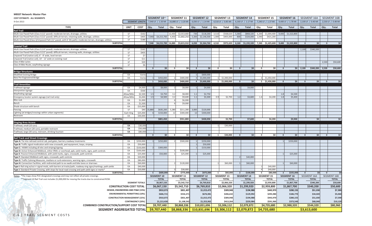## **MBSST Network: Master Plan**

| <b>COST ESTIMATE - ALL SEGMENTS</b>                                                                                                                                                                               |             |                          |              | SEGMENT 10**       |                         | <b>SEGMENT 11</b>              |                         | <b>SEGMENT 12</b>  |                | <b>SEGMENT 13</b>  |                         | <b>SEGMENT 14</b>   |                         | <b>SEGMENT 15</b>  |                         | <b>SEGMENT 16</b>                   |              | <b>SEGMENT 16A</b> |              | <b>SEGMENT 16B</b> |
|-------------------------------------------------------------------------------------------------------------------------------------------------------------------------------------------------------------------|-------------|--------------------------|--------------|--------------------|-------------------------|--------------------------------|-------------------------|--------------------|----------------|--------------------|-------------------------|---------------------|-------------------------|--------------------|-------------------------|-------------------------------------|--------------|--------------------|--------------|--------------------|
| 9-Oct-2013                                                                                                                                                                                                        |             | <b>SEGMENT LENGTH</b>    |              | 7,940 LF / 1.50 MI |                         | 16,880 LF / 3.20 MI            |                         | 6,030 LF / 1.14 MI |                | 4,510 LF / 0.85 MI |                         | 6,160 LF / 1.17 MI  |                         | 7,240 LF / 1.37 MI |                         | 9,400 LF / 1.78 MI                  |              | 2,100 LF / 0.40 MI |              | 2,530 LF / 0.48 MI |
|                                                                                                                                                                                                                   |             |                          |              |                    |                         |                                |                         |                    |                |                    |                         |                     |                         |                    |                         |                                     |              |                    |              |                    |
| <b>TYPE</b>                                                                                                                                                                                                       | <b>UNIT</b> | <b>COST</b>              | Qty.         | Total              |                         | Qty. Total                     | Qty.                    | Total              | Qty.           | Total              | Qty.                    | Total               | Qty.                    | Total              | Qty.                    | Total                               | Qty.         | Total              | Qty.         | Total              |
| <b>Rail Trail</b><br>Multi-Use Paved Path (Class I) (12' paved): moderate terrain, drainage, utilities                                                                                                            | LF          | \$162                    |              |                    | 12,430                  | \$2,013,660                    | 730                     | \$118,260          | 3,510          | \$568,620          | 5,360                   | \$868,320           | 6,200                   | \$1,004,400        | 9,400                   | \$1,522,800                         |              |                    |              |                    |
|                                                                                                                                                                                                                   | LF          | \$405                    | 7,940        | \$4,215,700        | 4,450                   | \$1,802,250                    | 5,300                   | \$2,146,500        | 1,000          | \$405,000          | 800                     | \$324,000           | 1,040                   | \$421,200          |                         |                                     |              |                    |              |                    |
| Multi-Use Paved Path (Class I) (12' paved): difficult terrain, retaining walls, drainage, utilities<br>Multi-Use Paved (Class I)/Unpaved Path (12' paved, with 6' DG path): moderate terrain, drainage, utilities | LF          | \$180                    |              |                    |                         |                                |                         |                    |                |                    |                         |                     |                         |                    |                         |                                     |              |                    |              |                    |
|                                                                                                                                                                                                                   |             |                          |              |                    |                         |                                |                         |                    |                |                    |                         |                     |                         |                    |                         |                                     | $\mathbf{0}$ | -\$0 l             | $\mathbf{0}$ |                    |
| <b>SUBTOTAL</b>                                                                                                                                                                                                   |             |                          | 7,940        |                    |                         | \$4,215,700 16,880 \$3,815,910 | 6,030                   | \$2,264,760        | 4,510          | \$973,620          |                         | $6,160$ \$1,192,320 |                         |                    |                         | 7,240 \$1,425,600 9,400 \$1,522,800 |              |                    |              | \$0                |
| <b>Coastal Trail</b><br>Multi-Use Paved Path (Class I) (12' paved): moderate terrain, drainage, utilities                                                                                                         | LF.         | \$162                    |              |                    |                         |                                |                         |                    |                |                    |                         |                     |                         |                    |                         |                                     | 2,100        | \$340,200          |              |                    |
| Multi-Use Paved Path (Class I) (12' paved): difficult terrain, retaining walls, drainage, utilities                                                                                                               | LF          | \$405                    |              |                    |                         |                                |                         |                    |                |                    |                         |                     |                         |                    |                         |                                     |              |                    |              |                    |
| Unpaved Trail (native soil); 6' - 8' wide, level terrain                                                                                                                                                          | LF          | \$7                      |              |                    |                         |                                |                         |                    |                |                    |                         |                     |                         |                    |                         |                                     |              |                    |              |                    |
| Unpaved Trail (native soil); 10' - 12' wide on existing road                                                                                                                                                      | LF          | \$11                     |              |                    |                         |                                |                         |                    |                |                    |                         |                     |                         |                    |                         |                                     |              |                    |              |                    |
| Class II Bike Lanes                                                                                                                                                                                               | LF          | \$20                     |              |                    |                         |                                |                         |                    |                |                    |                         |                     |                         |                    |                         |                                     |              |                    | 2,530        | \$50,600           |
| Class III Bike Route, wayfinding signage                                                                                                                                                                          | LF          | \$6                      |              |                    |                         |                                |                         |                    |                |                    |                         |                     |                         |                    |                         |                                     |              |                    |              |                    |
| <b>SUBTOTAL</b>                                                                                                                                                                                                   |             |                          | $\mathbf{0}$ | \$0                | $\overline{\mathbf{0}}$ | \$0                            | $\overline{\mathbf{0}}$ | \$0 <sub>1</sub>   | $\mathbf{0}$   | \$0                | $\overline{\mathbf{0}}$ | \$0 <sub>1</sub>    | $\overline{\mathbf{0}}$ | \$0                | $\overline{\mathbf{0}}$ |                                     | $$0$ 2,100   | \$340,200 2,530    |              | \$50,600           |
|                                                                                                                                                                                                                   |             |                          |              |                    |                         |                                |                         |                    |                |                    |                         |                     |                         |                    |                         |                                     |              |                    |              |                    |
| <b>Bridge Structures</b><br>Modified Existing Bridge                                                                                                                                                              |             |                          |              |                    |                         |                                |                         |                    |                |                    |                         |                     |                         |                    |                         |                                     |              |                    |              |                    |
|                                                                                                                                                                                                                   | EA          | Varie                    |              |                    |                         |                                |                         | \$600,000          |                |                    |                         |                     |                         |                    |                         |                                     |              |                    |              |                    |
| New Pre-Engineered Bridge                                                                                                                                                                                         | EA          | Varie                    |              | \$450,000          |                         | \$400,000                      |                         | \$3,000,000        |                | \$1,000,000        |                         |                     |                         | \$1,450,000        |                         |                                     |              |                    |              |                    |
| <b>SUBTOTAL</b>                                                                                                                                                                                                   |             |                          |              | \$450,000          | $\overline{2}$          | \$400,000                      | $\overline{4}$          | \$3,600,000        |                | 1 \$1,000,000      | $\mathbf{0}$            | \$0                 |                         | 2 \$1,450,000      | $\mathbf{0}$            | \$0                                 | $\Omega$     | \$0                |              | \$0                |
| <b>Trail Amenities</b>                                                                                                                                                                                            |             |                          |              |                    |                         |                                |                         |                    |                |                    |                         |                     |                         |                    |                         |                                     |              |                    |              |                    |
| Trailhead signage                                                                                                                                                                                                 | EA          | \$4,000                  |              | \$8,000            |                         | \$8,000                        |                         | \$4,000            |                |                    |                         | \$4,000             |                         |                    |                         |                                     |              |                    |              |                    |
| Interpretive signage                                                                                                                                                                                              | EA          | \$500                    |              |                    |                         |                                |                         |                    |                |                    |                         |                     |                         |                    |                         |                                     |              |                    |              |                    |
| Wayfinding signage                                                                                                                                                                                                | Allow/Mil   | \$2,500                  | 1.5          | \$3,750            | 3.2                     | \$8,000                        | 1.1                     | \$2,750            |                |                    |                         |                     |                         |                    | 1.8                     | \$4,500                             |              |                    |              |                    |
| Emergency locator system signage (rail trail only)                                                                                                                                                                | \llow/Mil   | \$3,000                  | 1.5          | \$4,500            | 3.2                     | \$9,600                        | 1.1                     | \$3,300            | 0.9            | \$2,700            | 1.2                     | \$3,600             | 1.4                     | \$4,200            | 1.8                     | \$5,400                             |              |                    |              |                    |
| Bike rack                                                                                                                                                                                                         | EA          | \$1,000                  |              |                    |                         | \$6,000                        |                         |                    |                |                    |                         |                     |                         |                    |                         |                                     |              |                    |              |                    |
| Bench                                                                                                                                                                                                             | EA          | \$1,500                  |              |                    |                         | \$9,000                        |                         |                    |                |                    |                         |                     |                         |                    |                         |                                     |              |                    |              |                    |
| Shade structure with bench                                                                                                                                                                                        | EA          | \$15,000                 |              |                    |                         |                                |                         |                    |                |                    |                         |                     |                         |                    |                         |                                     |              |                    |              |                    |
| Fencing                                                                                                                                                                                                           | <b>LF</b>   | \$40                     | 15,880       | \$635,200          | 5,280                   | \$211,200                      | 3,000                   | \$120,000          |                |                    |                         |                     |                         |                    |                         |                                     |              |                    |              |                    |
| Lighting (at bridges/crossings within urban segments)                                                                                                                                                             | Each Xing   | \$25,000                 |              | \$150,000          | 12                      | \$300,000                      | 12                      | \$300,000          |                |                    |                         |                     |                         |                    |                         |                                     |              |                    |              |                    |
| Restroom                                                                                                                                                                                                          | EA          | \$30,000                 |              |                    |                         |                                |                         |                    |                |                    |                         |                     |                         |                    |                         |                                     |              |                    |              |                    |
| <b>SUBTOTAL</b>                                                                                                                                                                                                   |             |                          |              | \$801,450          |                         | \$551,800                      |                         | \$430,050          |                | \$2,700            |                         | \$7,600             |                         | \$4,200            |                         | \$9,900                             |              | 50 <sub>1</sub>    |              | \$0                |
| <b>Staging Area Access</b>                                                                                                                                                                                        |             |                          |              |                    |                         |                                |                         |                    |                |                    |                         |                     |                         |                    |                         |                                     |              |                    |              |                    |
| Trailhead, small (10 cars)                                                                                                                                                                                        | EA          | \$30,000                 |              |                    |                         |                                |                         |                    |                | \$30,000           |                         |                     |                         |                    |                         |                                     |              |                    |              |                    |
| Trailhead, medium (20 cars), portable restroom                                                                                                                                                                    | EA<br>EA    | \$50,00                  |              |                    |                         |                                |                         |                    |                |                    |                         |                     |                         |                    |                         |                                     |              |                    |              |                    |
| Trailhead, large (30 cars), restroom, drinking fountain                                                                                                                                                           |             | \$80,00                  |              |                    |                         |                                |                         |                    |                |                    |                         |                     | $\Omega$                |                    | $\Omega$                |                                     | $\Omega$     |                    | $\Omega$     | 50 <sub>1</sub>    |
| <b>SUBTOTAL</b>                                                                                                                                                                                                   |             |                          | $\Omega$     | \$0                | $\mathbf 0$             | \$0                            | $\overline{\mathbf{0}}$ | \$0                | $\blacksquare$ | \$30,000           | $\mathbf{0}$            | \$0                 |                         | \$0                |                         | \$0                                 |              | \$0                |              |                    |
| <b>Rail Track and Street Crossings</b>                                                                                                                                                                            | EA          | \$250,000                |              | \$250,000          |                         |                                |                         | \$250,000          |                |                    |                         |                     |                         |                    |                         |                                     |              |                    |              |                    |
| Type A: Tie into railroad control cab, ped gates, barriers, roadway treatments                                                                                                                                    | EA          | \$50,00                  |              |                    |                         | \$500,000                      |                         | \$50,000           |                |                    |                         |                     |                         |                    |                         | \$250,000                           |              |                    |              |                    |
| Type B: Traffic signal modication with new crosswalk, ped equipment, loops, striping                                                                                                                              | EA          | \$150,000                |              | \$300,000          |                         |                                |                         | \$150,000          |                |                    |                         |                     |                         |                    |                         |                                     |              |                    |              |                    |
| Type C: HAWK including all elec and striping/signing                                                                                                                                                              | EA          |                          |              |                    |                         | \$100,000                      |                         |                    |                |                    |                         |                     |                         |                    |                         |                                     |              |                    |              |                    |
| Type D: Active Enhanced Midblock, either IRWL or overhead, ppb, yield marks, signs, path controls                                                                                                                 | EA          | \$100,000<br>\$25,000    |              | \$50,000           |                         | \$25,000                       |                         | \$25,000           |                |                    |                         |                     |                         |                    |                         | \$25,000                            |              |                    |              |                    |
| Type E: Passive Enhanced Midblock, with yield marks, signs, crosswalk, path controls                                                                                                                              | EA          | \$20,000                 |              |                    |                         |                                |                         |                    |                |                    |                         | \$40,000            |                         |                    |                         |                                     |              |                    |              |                    |
| Type F: Standard Midblock with signs, crosswalk, path controls<br>Type G: Traffic Calming Measures, medians or curb extensions, warning signs, crosswalk                                                          | EA          | \$80,000                 |              |                    |                         |                                |                         |                    |                |                    |                         |                     |                         |                    |                         |                                     |              |                    |              |                    |
| Type H: Connection Facilities, with redirected path to ex xwalk and bike lanes or sharrows                                                                                                                        | EA          | \$60,00                  |              |                    |                         | \$120,000                      |                         |                    |                | \$60,000           |                         | \$60,000            |                         |                    |                         | \$60,000                            |              |                    |              |                    |
| Type I: Rail xing w/out rr signal mods, with barriers at tracks/path, roadway xing signs/markings, path yields                                                                                                    | EA          | \$40,00                  |              |                    |                         |                                |                         |                    |                |                    |                         |                     |                         | \$40,000           |                         |                                     |              |                    |              |                    |
| Type J: Standard Private Crossing, with stops for local road crossing and path yield signs or marks*                                                                                                              | EA          | \$10,00                  |              |                    |                         | \$30,000                       |                         |                    |                |                    |                         |                     |                         | \$40,000           |                         |                                     |              |                    |              |                    |
| <b>SUBTOTAL</b>                                                                                                                                                                                                   |             |                          | -5           | \$600,000          | 9                       | \$775,000                      | 4                       | \$475,000          | 1              | \$60,000           | $\mathbf{3}$            | \$100,000           | 5                       | \$80,000           | $\mathbf{3}$            | \$335,000                           | $\mathbf{0}$ | \$0                | $\Omega$     |                    |
| Notes: *The maps show PUC designated crossings and may not reflect all private crossings.                                                                                                                         |             |                          |              | <b>SEGMENT 10</b>  |                         | <b>SEGMENT 11</b>              |                         | <b>SEGMENT 12</b>  |                | <b>SEGMENT 13</b>  |                         | <b>SEGMENT 14</b>   |                         | <b>SEGMENT 15</b>  |                         | <b>SEGMENT 16</b>                   |              | SEGMENT 16A        |              | SEGMENT 16B        |
| ** Segment 10 Rail Trail cost includes \$1,000,000 for moving the tracks due to constrained ROW.                                                                                                                  |             |                          |              | <b>TOTAL</b>       |                         | <b>TOTAL</b>                   |                         | <b>TOTAL</b>       |                | <b>TOTAL</b>       |                         | <b>TOTAL</b>        |                         | TOTAL              |                         | <b>TOTAL</b>                        |              | <b>TOTAL</b>       |              | <b>TOTAL</b>       |
|                                                                                                                                                                                                                   |             | <b>SEGMENT TOTALS</b>    |              | \$6,067,150        |                         | \$5,542,710                    |                         | \$6,769,810        |                | \$2,066,320        |                         | \$1,299,920         |                         | \$2,959,800        |                         |                                     |              | \$340,200          |              | \$50,600           |
|                                                                                                                                                                                                                   |             |                          |              |                    |                         |                                |                         |                    |                |                    |                         |                     |                         |                    |                         | \$1,867,700                         |              |                    |              |                    |
| <b>CONSTRUCTION COST TOTAL</b>                                                                                                                                                                                    |             |                          |              | \$6,067,150        |                         | \$5,542,710                    |                         | \$6,769,810        |                | \$2,066,320        |                         | \$1,299,920         |                         | \$2,959,800        |                         | \$1,867,700                         |              | \$340,200          |              | \$50,600           |
| DESIGN, ENGINEERING AND PS&E (15%)                                                                                                                                                                                |             |                          |              | \$910,073          |                         | \$831,407                      |                         | \$1,015,472        |                | \$309,948          |                         | \$194,988           |                         | \$443,970          |                         | \$280,155                           |              | \$51,030           |              | \$7,590            |
| <b>ENVIRONMENTAL PERMITTING (10%)</b>                                                                                                                                                                             |             |                          |              | \$606,715          |                         | \$554,271                      |                         | \$676,981          |                | \$206,632          |                         | \$129,992           |                         | \$295,980          |                         | \$186,770                           |              | \$34,020           |              | \$5,060            |
| <b>CONSTRUCTION MANAGEMENT (15%)</b>                                                                                                                                                                              |             |                          |              | \$910,073          |                         | \$831,407                      |                         | \$1,015,472        |                | \$309,948          |                         | \$194,988           |                         | \$443,970          |                         | \$280,155                           |              | \$51,030           |              | \$7,590            |
|                                                                                                                                                                                                                   |             | <b>CONTINGENCY (20%)</b> |              | \$1,213,430        |                         | \$1,108,542                    |                         | \$1,353,962        |                | \$413,264          |                         | \$259,984           |                         | \$591,960          |                         | \$373,540                           |              | \$68,040           |              | \$10,120           |
|                                                                                                                                                                                                                   |             |                          |              |                    |                         |                                |                         |                    |                |                    |                         |                     |                         |                    |                         |                                     |              |                    |              |                    |
| <b>COMBINED CONSTRUCTION/SUPPORT COST TOTAL</b>                                                                                                                                                                   |             |                          |              | \$9,707,440        |                         | \$8,868,336                    |                         | \$10,831,696       |                | \$3,306,112        |                         | \$2,079,872         |                         | \$4,735,680        |                         | \$2,988,320                         |              | \$544,320          |              | \$80,960           |
| SEGMENT AGGREGATED TOTAL                                                                                                                                                                                          |             |                          |              | \$9,707,440        |                         | \$8,868,336                    |                         | \$10,831,696       |                | \$3,306,112        |                         | \$2,079,872         |                         | \$4,735,680        |                         |                                     |              | \$3,613,600        |              |                    |

C-6 | TRAIL SEGMENT COSTS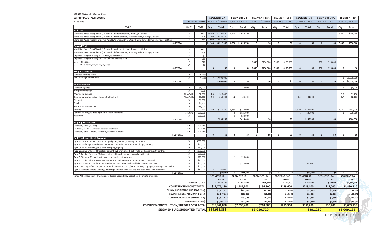| <b>MBSST Network: Master Plan</b>                                                                                |             |                          |             |                     |             |                               |             |                    |             |                    |              |                    |                  |                    |                   |                    |  |
|------------------------------------------------------------------------------------------------------------------|-------------|--------------------------|-------------|---------------------|-------------|-------------------------------|-------------|--------------------|-------------|--------------------|--------------|--------------------|------------------|--------------------|-------------------|--------------------|--|
| <b>COST ESTIMATE - ALL SEGMENTS</b>                                                                              |             |                          |             | <b>SEGMENT 17</b>   |             | <b>SEGMENT 18</b>             |             | SEGMENT 18A        |             | SEGMENT 18B        |              | <b>SEGMENT 19</b>  |                  | <b>SEGMENT 19A</b> | <b>SEGMENT 20</b> |                    |  |
| 9-Oct-2013                                                                                                       |             | <b>SEGMENT LENGTH</b>    |             | 21,140 LF / 4.00 MI |             | 6,350 LF / 1.20 MI            |             | 6,840 LF / 1.30 MI |             | 7,980 LF / 1.51 MI |              | 1,510 LF / 0.29 MI | 950 LF / 0.18 MI |                    |                   | 3,930 LF / 0.74 MI |  |
| <b>TYPE</b>                                                                                                      | <b>UNIT</b> | <b>COST</b>              | Qty.        | Total               | Qty.        | Total                         | Qty.        | Total              | Qty.        | Total              | Qty.         | Total              | Qty.             | Total              | Qty.              | Total              |  |
| <b>Rail Trail</b>                                                                                                |             |                          |             |                     |             |                               |             |                    |             |                    |              |                    |                  |                    |                   |                    |  |
| Multi-Use Paved Path (Class I) (12' paved): moderate terrain, drainage, utilities                                | LF.         | \$162                    | 10,540      | \$1,707,480         | 6,350       | \$1,028,700                   |             |                    |             |                    |              |                    |                  |                    | 3,930             | \$636,660          |  |
| Multi-Use Paved Path (Class I) (12' paved): difficult terrain, retaining walls, drainage, utilities              | LF.         | \$405                    | 7,100       | \$2,875,500         |             |                               |             |                    |             |                    |              |                    |                  |                    |                   |                    |  |
| Multi-Use Paved (Class I)/Unpaved Path (12' paved, with 6' DG path): moderate terrain, drainage, utilities       | LF.         | \$180                    | 3,500       | \$630,000           |             |                               |             |                    |             |                    |              |                    |                  |                    |                   |                    |  |
| <b>SUBTOTAL</b>                                                                                                  |             |                          | 21,140      |                     |             | \$5,212,980 6,350 \$1,028,700 | $\mathbf 0$ | \$0                | $\mathbf 0$ | \$0                | $\mathbf{0}$ | \$0                | $\mathbf{0}$     |                    | $$0$ 3,930        | \$636,660          |  |
| <b>Coastal Trail</b>                                                                                             |             |                          |             |                     |             |                               |             |                    |             |                    |              |                    |                  |                    |                   |                    |  |
| Multi-Use Paved Path (Class I) (12' paved): moderate terrain, drainage, utilities                                | LF.         | \$162                    |             |                     |             |                               |             |                    |             |                    |              |                    |                  |                    |                   |                    |  |
| Multi-Use Paved Path (Class I) (12' paved): difficult terrain, retaining walls, drainage, utilities              | LF          | \$405                    |             |                     |             |                               |             |                    |             |                    |              |                    |                  |                    |                   |                    |  |
| Unpaved Trail (native soil); 6' - 8' wide, level terrain                                                         | LF.         | \$7                      |             |                     |             |                               |             |                    |             |                    |              |                    |                  |                    |                   |                    |  |
| Jnpaved Trail (native soil); 10' - 12' wide on existing road                                                     | LF          | \$11                     |             |                     |             |                               |             |                    |             |                    |              |                    |                  |                    |                   |                    |  |
| Class II Bike Lanes                                                                                              | LF          | \$20                     |             |                     |             |                               | 6,840       | \$136,800          | 7,980       | \$159,600          |              |                    | 950              | \$19,000           |                   |                    |  |
| Class III Bike Route, wayfinding signage                                                                         | LF.         | \$6                      |             |                     |             |                               |             |                    |             |                    |              |                    |                  |                    |                   |                    |  |
| <b>SUBTOTAL</b>                                                                                                  |             |                          | $\mathbf 0$ | \$0                 | 0           | \$0                           | 6,840       | \$136,800 7,980    |             | \$159,600          | $\mathbf{0}$ | \$0                | 950              | \$19,000           | $\mathbf 0$       | \$0                |  |
| <b>Bridge Structures</b>                                                                                         |             |                          |             |                     |             |                               |             |                    |             |                    |              |                    |                  |                    |                   |                    |  |
| Modified Existing Bridge                                                                                         | EA          | Varies                   |             |                     |             |                               |             |                    |             |                    |              |                    |                  |                    |                   |                    |  |
| New Pre-Engineered Bridge                                                                                        | EA          | Varies                   |             | \$7,000,000         |             |                               |             |                    |             |                    |              |                    |                  |                    | 11                | \$1,000,000        |  |
| <b>SUBTOTAL</b>                                                                                                  |             |                          |             | 7 \$7,000,000       | $\mathbf 0$ | \$0                           | $\mathbf 0$ | \$0 <sub>1</sub>   | 0           | \$0                | $\mathbf{0}$ | \$0                | $\Omega$         | \$0                |                   | 1 \$1,000,000      |  |
| <b>Trail Amenities</b>                                                                                           |             |                          |             |                     |             |                               |             |                    |             |                    |              |                    |                  |                    |                   |                    |  |
| Trailhead signage                                                                                                | EA          | \$4,000                  |             |                     |             | \$4,000                       |             |                    |             |                    |              |                    |                  |                    |                   | \$4,000            |  |
| Interpretive signage                                                                                             | EA          | \$500                    |             |                     |             |                               |             |                    |             |                    |              |                    |                  |                    |                   |                    |  |
| Wayfinding signage                                                                                               | Allow/Mi    | \$2,500                  | 4.0         | \$10,000            |             |                               |             |                    |             |                    |              |                    |                  |                    | 0.7               | \$1,750            |  |
| Emergency locator system signage (rail trail only)                                                               | Allow/Mil   | \$3,000                  | 4.0         | \$12,000            | 1.2         | \$3,600                       |             |                    |             |                    | 0.5          | \$1,500            |                  |                    | 0.7               | \$2,100            |  |
| <b>Bike rack</b>                                                                                                 | EA          | \$1,000                  |             |                     |             |                               |             |                    |             |                    |              |                    |                  |                    |                   |                    |  |
| Bench                                                                                                            | EA          | \$1,500                  |             |                     |             |                               |             |                    |             |                    |              |                    |                  |                    |                   |                    |  |
| Shade structure with bench                                                                                       | EA          | \$15,000                 |             |                     |             |                               |             |                    |             |                    |              |                    |                  |                    |                   |                    |  |
| encing                                                                                                           | LF          | \$40                     | 5,280       | \$211,200           | 6,350       | \$254,000                     |             |                    |             |                    | 3,320        | \$132,800          |                  |                    | 5,280             | \$211,200          |  |
| ighting (at bridges/crossings within urban segments).                                                            | Each Xing   | \$25,000                 |             |                     |             | \$125,000                     |             |                    |             |                    |              | \$25,000           |                  |                    |                   | \$25,000           |  |
| Restroom                                                                                                         | EA          | \$30,000                 |             |                     |             | \$30,000                      |             |                    |             |                    |              |                    |                  |                    |                   |                    |  |
| <b>SUBTOTAL</b>                                                                                                  |             |                          |             | \$233,200           |             | \$416,600                     |             | \$0                |             | \$0                |              | \$159,300          |                  | \$0                |                   | \$244,050          |  |
| <b>Staging Area Access</b>                                                                                       |             |                          |             |                     |             |                               |             |                    |             |                    |              |                    |                  |                    |                   |                    |  |
| Trailhead, small (10 cars)                                                                                       | EA          | \$30,000                 |             |                     |             |                               |             |                    |             |                    |              |                    |                  |                    |                   |                    |  |
| Trailhead, medium (20 cars), portable restroom                                                                   | EA          | \$50,000                 |             |                     |             |                               |             |                    |             |                    |              |                    |                  |                    |                   |                    |  |
| Trailhead, large (30 cars), restroom, drinking fountain                                                          | EA          | \$80,000                 |             |                     |             |                               |             |                    |             |                    |              |                    |                  |                    |                   |                    |  |
| <b>SUBTOTAL</b>                                                                                                  |             |                          | $\mathbf 0$ | \$0                 | 0           | \$0                           | $\mathbf 0$ | \$0                | 0           | \$0                | $\mathbf{0}$ | \$0 <sub>1</sub>   | $\mathbf{0}$     | \$0                | 0                 | \$0                |  |
| <b>Rail Track and Street Crossings</b>                                                                           |             |                          |             |                     |             |                               |             |                    |             |                    |              |                    |                  |                    |                   |                    |  |
| Type A: Tie into railroad control cab, ped gates, barriers, roadway treatments                                   | EA          | \$250,000                |             |                     |             |                               |             |                    |             |                    |              |                    |                  |                    |                   |                    |  |
| Type B: Traffic signal modication with new crosswalk, ped equipment, loops, striping                             | EA          | \$50,000                 |             |                     |             |                               |             |                    |             |                    |              |                    |                  |                    |                   |                    |  |
| Type C: HAWK including all elec and striping/signing                                                             | EA          | \$150,000                |             |                     |             |                               |             |                    |             |                    |              |                    |                  |                    |                   |                    |  |
| Type D: Active Enhanced Midblock, either IRWL or overhead, ppb, yield marks, signs, path controls                | EA          | \$100,000                |             |                     |             |                               |             |                    |             |                    |              |                    |                  |                    |                   |                    |  |
| Type E: Passive Enhanced Midblock, with yield marks, signs, crosswalk, path controls                             | EA          | \$25,000                 |             |                     |             |                               |             |                    |             |                    |              |                    |                  |                    |                   |                    |  |
| Type F: Standard Midblock with signs, crosswalk, path controls                                                   | EA          | \$20,000                 |             |                     |             | \$20,000                      |             |                    |             |                    |              |                    |                  |                    |                   |                    |  |
| Type G: Traffic Calming Measures, medians or curb extensions, warning signs, crosswalk                           | EA          | \$80,000                 |             |                     |             |                               |             |                    |             |                    |              |                    |                  |                    |                   |                    |  |
| Type H: Connection Facilities, with redirected path to ex xwalk and bike lanes or sharrows                       | EA          | \$60,000                 |             |                     |             | \$120,000                     |             |                    |             |                    |              | \$60,000           |                  |                    |                   |                    |  |
| Type I: Rail xing w/out rr signal mods, with barriers at tracks/path, roadway xing signs/markings, path yields   | EA          | \$40,000                 |             |                     |             |                               |             |                    |             |                    |              |                    |                  |                    |                   |                    |  |
| Type J: Standard Private Crossing, with stops for local road crossing and path yield signs or marks <sup>*</sup> | EA          | \$10,000                 |             | \$30,000            |             |                               |             |                    |             |                    |              |                    |                  |                    |                   |                    |  |
| <b>SUBTOTAL</b>                                                                                                  |             |                          | 3           | \$30,000            | -3          | \$140,000                     | $\Omega$    | \$0                | 0           | \$O                | 1            | \$60,000           | $\mathbf{0}$     | \$0                | 0                 |                    |  |
| Note: *The maps show PUC designated crossings and may not reflect all private crossings.                         |             |                          |             | <b>SEGMENT 17</b>   |             | <b>SEGMENT 18</b>             |             | SEGMENT 18A        |             | SEGMENT 18B        |              | <b>SEGMENT 19</b>  |                  | SEGMENT 19A        |                   | <b>SEGMENT 20</b>  |  |
|                                                                                                                  |             |                          |             | <b>TOTAL</b>        |             | <b>TOTAL</b>                  |             | <b>TOTAL</b>       |             | <b>TOTAL</b>       |              | <b>TOTAL</b>       |                  | <b>TOTAL</b>       |                   | <b>TOTAL</b>       |  |
|                                                                                                                  |             | <b>SEGMENT TOTALS</b>    |             | \$12,476,180        |             | \$1,585,300                   |             | \$136,800          |             | \$159,600          |              | \$219,300          |                  | \$19,000           |                   | \$1,880,710        |  |
| <b>CONSTRUCTION COST TOTAL</b>                                                                                   |             |                          |             | \$12,476,180        |             | \$1,585,300                   |             | \$136,800          |             | \$159,600          |              | \$219,300          |                  | \$19,000           |                   | \$1,880,710        |  |
| DESIGN, ENGINEERING AND PS&E (15%)                                                                               |             |                          |             | \$1,871,427         |             | \$237,795                     |             | \$20,520           |             | \$23,940           |              | \$32,895           |                  | \$2,850            |                   | \$282,107          |  |
| <b>ENVIRONMENTAL PERMITTING (10%)</b>                                                                            |             |                          |             | \$1,247,618         |             | \$158,530                     |             | \$13,680           |             | \$15,960           |              | \$21,930           |                  | \$1,900            |                   | \$188,071          |  |
| <b>CONSTRUCTION MANAGEMENT (15%)</b>                                                                             |             |                          |             | \$1,871,427         |             | \$237,795                     |             | \$20,520           |             | \$23,940           |              | \$32,895           |                  | \$2,850            |                   | \$282,107          |  |
|                                                                                                                  |             |                          |             |                     |             |                               |             |                    |             |                    |              |                    |                  |                    |                   |                    |  |
|                                                                                                                  |             | <b>CONTINGENCY (20%)</b> |             | \$2,495,236         |             | \$317,060                     |             | \$27,360           |             | \$31,920           |              | \$43,860           |                  | \$3,800            |                   | \$376,142          |  |
| <b>COMBINED CONSTRUCTION/SUPPORT COST TOTAL</b>                                                                  |             |                          |             | \$19,961,888        |             | \$2,536,480                   |             | \$218,880          |             | \$255,360          |              | \$350,880          |                  | \$30,400           |                   | \$3,009,136        |  |
| <b>SEGMENT AGGREGATED TOTAL</b>                                                                                  |             |                          |             | \$19,961,888        |             |                               |             | \$3,010,720        |             |                    |              | \$381,280          |                  |                    |                   | \$3,009,136        |  |